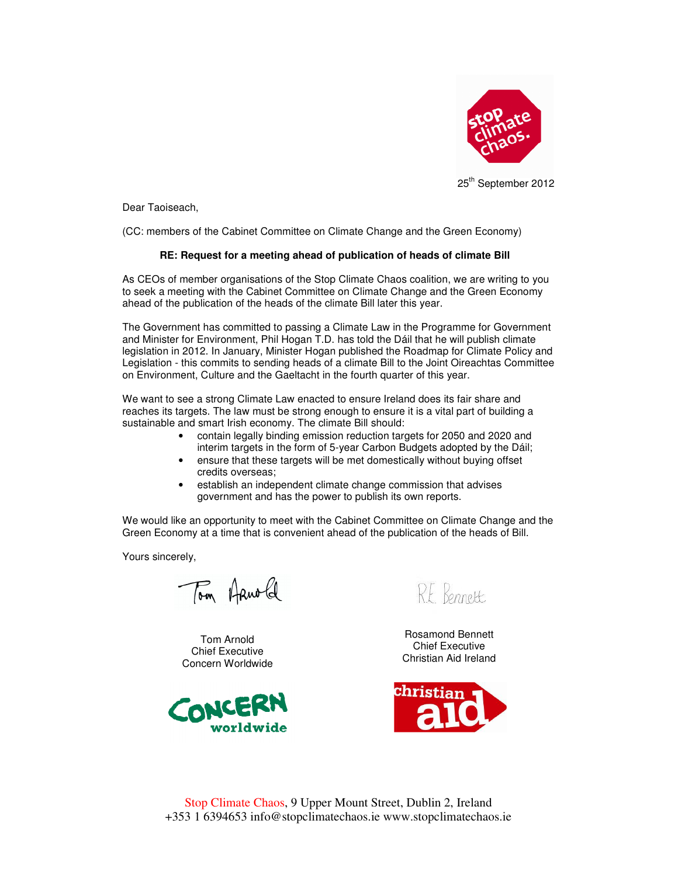

25<sup>th</sup> September 2012

Dear Taoiseach,

(CC: members of the Cabinet Committee on Climate Change and the Green Economy)

## **RE: Request for a meeting ahead of publication of heads of climate Bill**

As CEOs of member organisations of the Stop Climate Chaos coalition, we are writing to you to seek a meeting with the Cabinet Committee on Climate Change and the Green Economy ahead of the publication of the heads of the climate Bill later this year.

The Government has committed to passing a Climate Law in the Programme for Government and Minister for Environment, Phil Hogan T.D. has told the Dáil that he will publish climate legislation in 2012. In January, Minister Hogan published the Roadmap for Climate Policy and Legislation - this commits to sending heads of a climate Bill to the Joint Oireachtas Committee on Environment, Culture and the Gaeltacht in the fourth quarter of this year.

We want to see a strong Climate Law enacted to ensure Ireland does its fair share and reaches its targets. The law must be strong enough to ensure it is a vital part of building a sustainable and smart Irish economy. The climate Bill should:

- contain legally binding emission reduction targets for 2050 and 2020 and interim targets in the form of 5-year Carbon Budgets adopted by the Dáil;
- ensure that these targets will be met domestically without buying offset credits overseas;
- establish an independent climate change commission that advises government and has the power to publish its own reports.

We would like an opportunity to meet with the Cabinet Committee on Climate Change and the Green Economy at a time that is convenient ahead of the publication of the heads of Bill.

Yours sincerely,

Tom Arnold

Tom Arnold Chief Executive Concern Worldwide



RE Bennett

Rosamond Bennett Chief Executive Christian Aid Ireland



Stop Climate Chaos, 9 Upper Mount Street, Dublin 2, Ireland +353 1 6394653 info@stopclimatechaos.ie www.stopclimatechaos.ie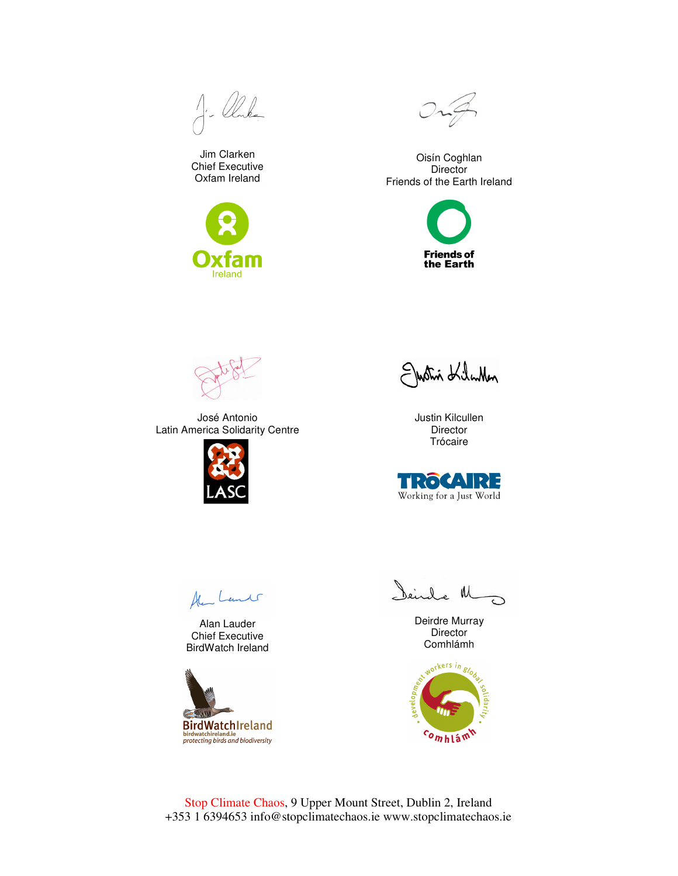$A - Q C L$ 

Jim Clarken Chief Executive Oxfam Ireland





Oisín Coghlan **Director** Friends of the Earth Ireland





José Antonio Latin America Solidarity Centre



Justin KiluMen

Justin Kilcullen **Director** Trócaire



Ale Lands

Alan Lauder Chief Executive BirdWatch Ireland



Deirde M

Deirdre Murray Director Comhlámh



Stop Climate Chaos, 9 Upper Mount Street, Dublin 2, Ireland +353 1 6394653 info@stopclimatechaos.ie www.stopclimatechaos.ie